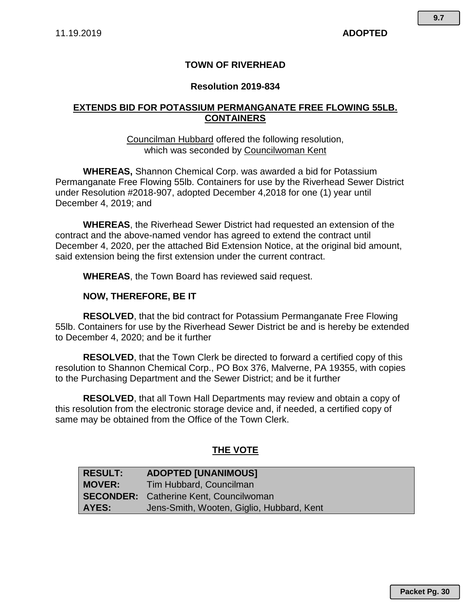# **TOWN OF RIVERHEAD**

#### **Resolution 2019-834**

## **EXTENDS BID FOR POTASSIUM PERMANGANATE FREE FLOWING 55LB. CONTAINERS**

#### Councilman Hubbard offered the following resolution, which was seconded by Councilwoman Kent

**WHEREAS,** Shannon Chemical Corp. was awarded a bid for Potassium Permanganate Free Flowing 55lb. Containers for use by the Riverhead Sewer District under Resolution #2018-907, adopted December 4,2018 for one (1) year until December 4, 2019; and

**WHEREAS**, the Riverhead Sewer District had requested an extension of the contract and the above-named vendor has agreed to extend the contract until December 4, 2020, per the attached Bid Extension Notice, at the original bid amount, said extension being the first extension under the current contract.

**WHEREAS**, the Town Board has reviewed said request.

## **NOW, THEREFORE, BE IT**

**RESOLVED**, that the bid contract for Potassium Permanganate Free Flowing 55lb. Containers for use by the Riverhead Sewer District be and is hereby be extended to December 4, 2020; and be it further

**RESOLVED**, that the Town Clerk be directed to forward a certified copy of this resolution to Shannon Chemical Corp., PO Box 376, Malverne, PA 19355, with copies to the Purchasing Department and the Sewer District; and be it further

**RESOLVED**, that all Town Hall Departments may review and obtain a copy of this resolution from the electronic storage device and, if needed, a certified copy of same may be obtained from the Office of the Town Clerk.

# **THE VOTE**

| <b>RESULT:</b> | <b>ADOPTED [UNANIMOUS]</b>                    |
|----------------|-----------------------------------------------|
| <b>MOVER:</b>  | Tim Hubbard, Councilman                       |
|                | <b>SECONDER:</b> Catherine Kent, Councilwoman |
| AYES:          | Jens-Smith, Wooten, Giglio, Hubbard, Kent     |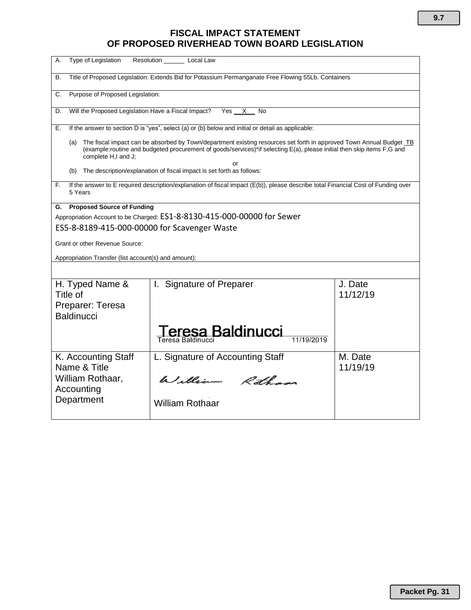# **FISCAL IMPACT STATEMENT OF PROPOSED RIVERHEAD TOWN BOARD LEGISLATION**

| Type of Legislation<br>А.                                                                                                                                                                                                                                                         | Resolution ________ Local Law                                                                     |                     |  |
|-----------------------------------------------------------------------------------------------------------------------------------------------------------------------------------------------------------------------------------------------------------------------------------|---------------------------------------------------------------------------------------------------|---------------------|--|
| Title of Proposed Legislation: Extends Bid for Potassium Permanganate Free Flowing 55Lb. Containers<br>В.                                                                                                                                                                         |                                                                                                   |                     |  |
| Purpose of Proposed Legislation:<br>C.                                                                                                                                                                                                                                            |                                                                                                   |                     |  |
| Will the Proposed Legislation Have a Fiscal Impact?<br>D.                                                                                                                                                                                                                         | Yes X<br>No                                                                                       |                     |  |
| Е.                                                                                                                                                                                                                                                                                | If the answer to section D is "yes", select (a) or (b) below and initial or detail as applicable: |                     |  |
| The fiscal impact can be absorbed by Town/department existing resources set forth in approved Town Annual Budget TB<br>(a)<br>(example:routine and budgeted procurement of goods/services)*if selecting E(a), please initial then skip items F,G and<br>complete H,I and J;<br>or |                                                                                                   |                     |  |
| (b)                                                                                                                                                                                                                                                                               | The description/explanation of fiscal impact is set forth as follows:                             |                     |  |
| If the answer to E required description/explanation of fiscal impact (E(b)), please describe total Financial Cost of Funding over<br>F.<br>5 Years                                                                                                                                |                                                                                                   |                     |  |
| <b>Proposed Source of Funding</b><br>G.                                                                                                                                                                                                                                           |                                                                                                   |                     |  |
| Appropriation Account to be Charged: ES1-8-8130-415-000-00000 for Sewer<br>ES5-8-8189-415-000-00000 for Scavenger Waste                                                                                                                                                           |                                                                                                   |                     |  |
|                                                                                                                                                                                                                                                                                   |                                                                                                   |                     |  |
| Grant or other Revenue Source:                                                                                                                                                                                                                                                    |                                                                                                   |                     |  |
| Appropriation Transfer (list account(s) and amount):                                                                                                                                                                                                                              |                                                                                                   |                     |  |
|                                                                                                                                                                                                                                                                                   |                                                                                                   |                     |  |
| H. Typed Name &<br>Title of                                                                                                                                                                                                                                                       | I. Signature of Preparer                                                                          | J. Date<br>11/12/19 |  |
| Preparer: Teresa                                                                                                                                                                                                                                                                  |                                                                                                   |                     |  |
| <b>Baldinucci</b>                                                                                                                                                                                                                                                                 |                                                                                                   |                     |  |
|                                                                                                                                                                                                                                                                                   | Teresa Baldinucci<br>11/19/2019                                                                   |                     |  |
| K. Accounting Staff                                                                                                                                                                                                                                                               | L. Signature of Accounting Staff                                                                  | M. Date             |  |
| Name & Title<br>William Rothaar,<br>Accounting                                                                                                                                                                                                                                    | William Rothans                                                                                   | 11/19/19            |  |
| Department                                                                                                                                                                                                                                                                        | <b>William Rothaar</b>                                                                            |                     |  |